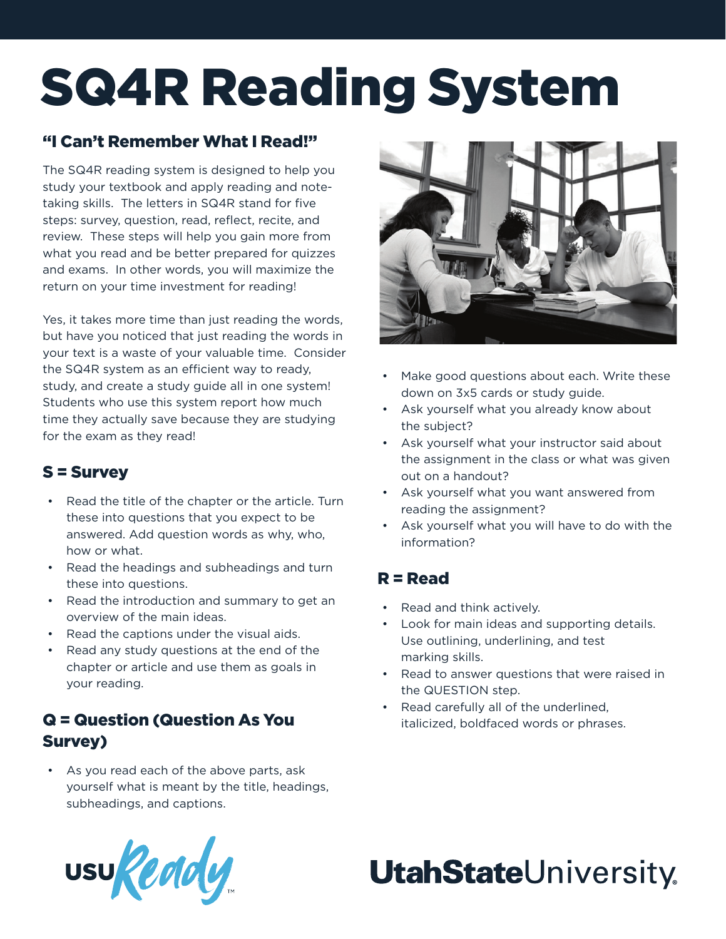# SQ4R Reading System

### "I Can't Remember What I Read!"

The SQ4R reading system is designed to help you study your textbook and apply reading and notetaking skills. The letters in SQ4R stand for five steps: survey, question, read, reflect, recite, and review. These steps will help you gain more from what you read and be better prepared for quizzes and exams. In other words, you will maximize the return on your time investment for reading!

Yes, it takes more time than just reading the words, but have you noticed that just reading the words in your text is a waste of your valuable time. Consider the SQ4R system as an efficient way to ready, study, and create a study guide all in one system! Students who use this system report how much time they actually save because they are studying for the exam as they read!

### S = Survey

- Read the title of the chapter or the article. Turn these into questions that you expect to be answered. Add question words as why, who, how or what.
- Read the headings and subheadings and turn these into questions.
- Read the introduction and summary to get an overview of the main ideas.
- Read the captions under the visual aids.
- Read any study questions at the end of the chapter or article and use them as goals in your reading.

### Q = Question (Question As You Survey)

• As you read each of the above parts, ask yourself what is meant by the title, headings, subheadings, and captions.



- Make good questions about each. Write these down on 3x5 cards or study guide.
- Ask yourself what you already know about the subject?
- Ask yourself what your instructor said about the assignment in the class or what was given out on a handout?
- Ask yourself what you want answered from reading the assignment?
- Ask yourself what you will have to do with the information?

### R = Read

- Read and think actively.
- Look for main ideas and supporting details. Use outlining, underlining, and test marking skills.
- Read to answer questions that were raised in the QUESTION step.
- Read carefully all of the underlined, italicized, boldfaced words or phrases.



## **UtahStateUniversity**